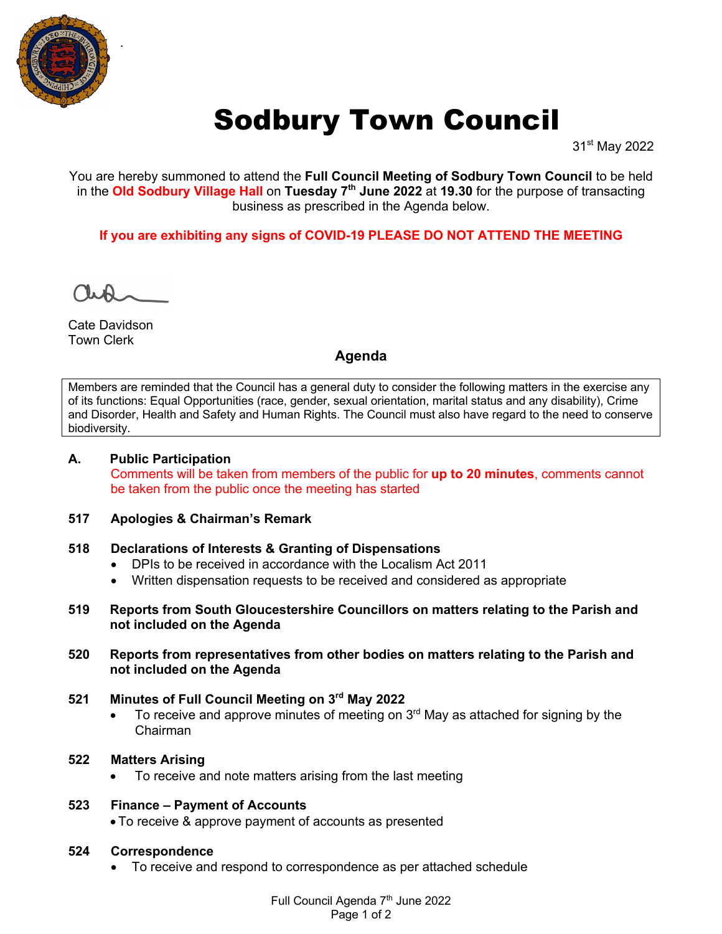

# Sodbury Town Council

31st May 2022

You are hereby summoned to attend the **Full Council Meeting of Sodbury Town Council** to be held in the **Old Sodbury Village Hall** on **Tuesday 7th June 2022** at **19.30** for the purpose of transacting business as prescribed in the Agenda below.

**If you are exhibiting any signs of COVID-19 PLEASE DO NOT ATTEND THE MEETING**

Cate Davidson Town Clerk

## **Agenda**

Members are reminded that the Council has a general duty to consider the following matters in the exercise any of its functions: Equal Opportunities (race, gender, sexual orientation, marital status and any disability), Crime and Disorder, Health and Safety and Human Rights. The Council must also have regard to the need to conserve biodiversity.

## **A. Public Participation**

Comments will be taken from members of the public for **up to 20 minutes**, comments cannot be taken from the public once the meeting has started

## **517 Apologies & Chairman's Remark**

#### **518 Declarations of Interests & Granting of Dispensations**

- DPIs to be received in accordance with the Localism Act 2011
- Written dispensation requests to be received and considered as appropriate
- **519 Reports from South Gloucestershire Councillors on matters relating to the Parish and not included on the Agenda**
- **520 Reports from representatives from other bodies on matters relating to the Parish and not included on the Agenda**

## **521 Minutes of Full Council Meeting on 3rd May 2022**

• To receive and approve minutes of meeting on  $3<sup>rd</sup>$  May as attached for signing by the Chairman

#### **522 Matters Arising**

• To receive and note matters arising from the last meeting

## **523 Finance – Payment of Accounts**

• To receive & approve payment of accounts as presented

#### **524 Correspondence**

• To receive and respond to correspondence as per attached schedule